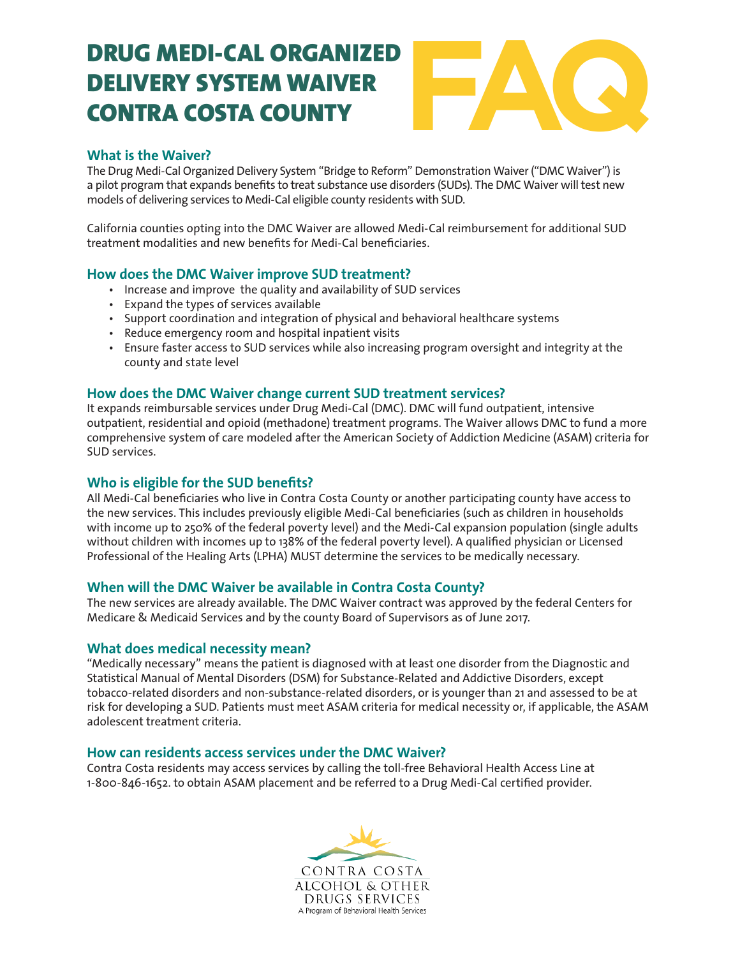# DRUG MEDI-CAL ORGANIZED DELIVERY SYSTEM WAIVER



## **What is the Waiver?**

The Drug Medi-Cal Organized Delivery System "Bridge to Reform" Demonstration Waiver ("DMC Waiver") is a pilot program that expands benefits to treat substance use disorders (SUDs). The DMC Waiver will test new models of delivering services to Medi-Cal eligible county residents with SUD.

California counties opting into the DMC Waiver are allowed Medi-Cal reimbursement for additional SUD treatment modalities and new benefits for Medi-Cal beneficiaries.

#### **How does the DMC Waiver improve SUD treatment?**

- Increase and improve the quality and availability of SUD services
- Expand the types of services available
- Support coordination and integration of physical and behavioral healthcare systems
- Reduce emergency room and hospital inpatient visits
- Ensure faster access to SUD services while also increasing program oversight and integrity at the county and state level

#### **How does the DMC Waiver change current SUD treatment services?**

It expands reimbursable services under Drug Medi-Cal (DMC). DMC will fund outpatient, intensive outpatient, residential and opioid (methadone) treatment programs. The Waiver allows DMC to fund a more comprehensive system of care modeled after the American Society of Addiction Medicine (ASAM) criteria for SUD services.

# **Who is eligible for the SUD benefits?**

All Medi-Cal beneficiaries who live in Contra Costa County or another participating county have access to the new services. This includes previously eligible Medi-Cal beneficiaries (such as children in households with income up to 250% of the federal poverty level) and the Medi-Cal expansion population (single adults without children with incomes up to 138% of the federal poverty level). A qualified physician or Licensed Professional of the Healing Arts (LPHA) MUST determine the services to be medically necessary.

## **When will the DMC Waiver be available in Contra Costa County?**

The new services are already available. The DMC Waiver contract was approved by the federal Centers for Medicare & Medicaid Services and by the county Board of Supervisors as of June 2017.

#### **What does medical necessity mean?**

"Medically necessary" means the patient is diagnosed with at least one disorder from the Diagnostic and Statistical Manual of Mental Disorders (DSM) for Substance-Related and Addictive Disorders, except tobacco-related disorders and non-substance-related disorders, or is younger than 21 and assessed to be at risk for developing a SUD. Patients must meet ASAM criteria for medical necessity or, if applicable, the ASAM adolescent treatment criteria.

#### **How can residents access services under the DMC Waiver?**

Contra Costa residents may access services by calling the toll-free Behavioral Health Access Line at 1-800-846-1652. to obtain ASAM placement and be referred to a Drug Medi-Cal certified provider.